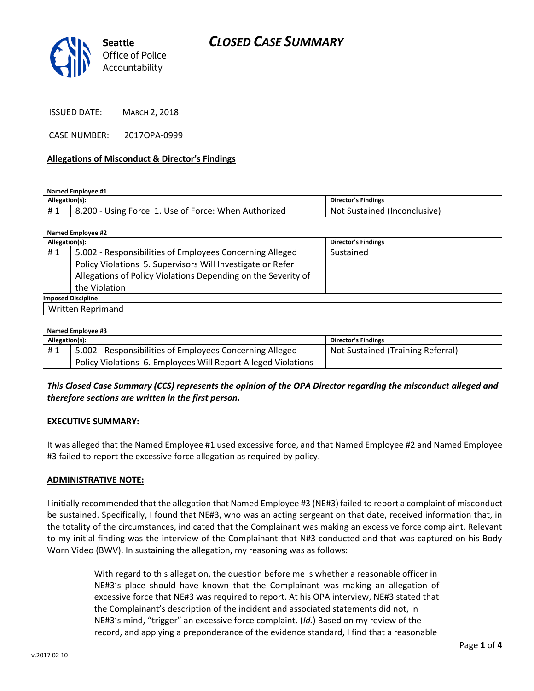

ISSUED DATE: MARCH 2, 2018

CASE NUMBER: 2017OPA-0999

#### **Allegations of Misconduct & Director's Findings**

**Named Employee #1**

| Allegation(s): |                                                      | Director's Findings               |
|----------------|------------------------------------------------------|-----------------------------------|
|                | 6.200 - Using Force 1. Use of Force: When Authorized | Sustained (Inconclusive)<br>- Not |

| Named Employee #2         |                                                               |                            |  |  |
|---------------------------|---------------------------------------------------------------|----------------------------|--|--|
| Allegation(s):            |                                                               | <b>Director's Findings</b> |  |  |
| #1                        | 5.002 - Responsibilities of Employees Concerning Alleged      | Sustained                  |  |  |
|                           | Policy Violations 5. Supervisors Will Investigate or Refer    |                            |  |  |
|                           | Allegations of Policy Violations Depending on the Severity of |                            |  |  |
|                           | the Violation                                                 |                            |  |  |
| <b>Imposed Discipline</b> |                                                               |                            |  |  |
|                           | Written Reprimand                                             |                            |  |  |

#### **Named Employee #3**

| Allegation(s): |                                                               | <b>Director's Findings</b>        |  |
|----------------|---------------------------------------------------------------|-----------------------------------|--|
| #1             | 5.002 - Responsibilities of Employees Concerning Alleged      | Not Sustained (Training Referral) |  |
|                | Policy Violations 6. Employees Will Report Alleged Violations |                                   |  |

## *This Closed Case Summary (CCS) represents the opinion of the OPA Director regarding the misconduct alleged and therefore sections are written in the first person.*

#### **EXECUTIVE SUMMARY:**

It was alleged that the Named Employee #1 used excessive force, and that Named Employee #2 and Named Employee #3 failed to report the excessive force allegation as required by policy.

#### **ADMINISTRATIVE NOTE:**

I initially recommended that the allegation that Named Employee #3 (NE#3) failed to report a complaint of misconduct be sustained. Specifically, I found that NE#3, who was an acting sergeant on that date, received information that, in the totality of the circumstances, indicated that the Complainant was making an excessive force complaint. Relevant to my initial finding was the interview of the Complainant that N#3 conducted and that was captured on his Body Worn Video (BWV). In sustaining the allegation, my reasoning was as follows:

> With regard to this allegation, the question before me is whether a reasonable officer in NE#3's place should have known that the Complainant was making an allegation of excessive force that NE#3 was required to report. At his OPA interview, NE#3 stated that the Complainant's description of the incident and associated statements did not, in NE#3's mind, "trigger" an excessive force complaint. (*Id.*) Based on my review of the record, and applying a preponderance of the evidence standard, I find that a reasonable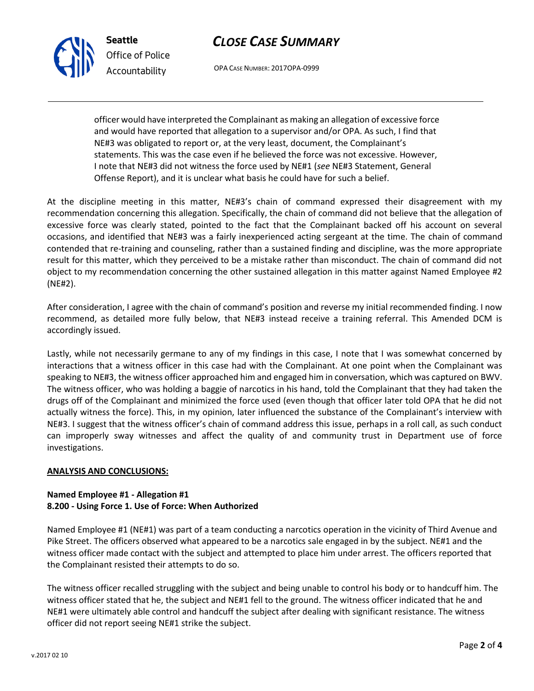

**Seattle** *Office of Police Accountability*

OPA CASE NUMBER: 2017OPA-0999

officer would have interpreted the Complainant as making an allegation of excessive force and would have reported that allegation to a supervisor and/or OPA. As such, I find that NE#3 was obligated to report or, at the very least, document, the Complainant's statements. This was the case even if he believed the force was not excessive. However, I note that NE#3 did not witness the force used by NE#1 (*see* NE#3 Statement, General Offense Report), and it is unclear what basis he could have for such a belief.

At the discipline meeting in this matter, NE#3's chain of command expressed their disagreement with my recommendation concerning this allegation. Specifically, the chain of command did not believe that the allegation of excessive force was clearly stated, pointed to the fact that the Complainant backed off his account on several occasions, and identified that NE#3 was a fairly inexperienced acting sergeant at the time. The chain of command contended that re-training and counseling, rather than a sustained finding and discipline, was the more appropriate result for this matter, which they perceived to be a mistake rather than misconduct. The chain of command did not object to my recommendation concerning the other sustained allegation in this matter against Named Employee #2 (NE#2).

After consideration, I agree with the chain of command's position and reverse my initial recommended finding. I now recommend, as detailed more fully below, that NE#3 instead receive a training referral. This Amended DCM is accordingly issued.

Lastly, while not necessarily germane to any of my findings in this case, I note that I was somewhat concerned by interactions that a witness officer in this case had with the Complainant. At one point when the Complainant was speaking to NE#3, the witness officer approached him and engaged him in conversation, which was captured on BWV. The witness officer, who was holding a baggie of narcotics in his hand, told the Complainant that they had taken the drugs off of the Complainant and minimized the force used (even though that officer later told OPA that he did not actually witness the force). This, in my opinion, later influenced the substance of the Complainant's interview with NE#3. I suggest that the witness officer's chain of command address this issue, perhaps in a roll call, as such conduct can improperly sway witnesses and affect the quality of and community trust in Department use of force investigations.

## **ANALYSIS AND CONCLUSIONS:**

#### **Named Employee #1 - Allegation #1 8.200 - Using Force 1. Use of Force: When Authorized**

Named Employee #1 (NE#1) was part of a team conducting a narcotics operation in the vicinity of Third Avenue and Pike Street. The officers observed what appeared to be a narcotics sale engaged in by the subject. NE#1 and the witness officer made contact with the subject and attempted to place him under arrest. The officers reported that the Complainant resisted their attempts to do so.

The witness officer recalled struggling with the subject and being unable to control his body or to handcuff him. The witness officer stated that he, the subject and NE#1 fell to the ground. The witness officer indicated that he and NE#1 were ultimately able control and handcuff the subject after dealing with significant resistance. The witness officer did not report seeing NE#1 strike the subject.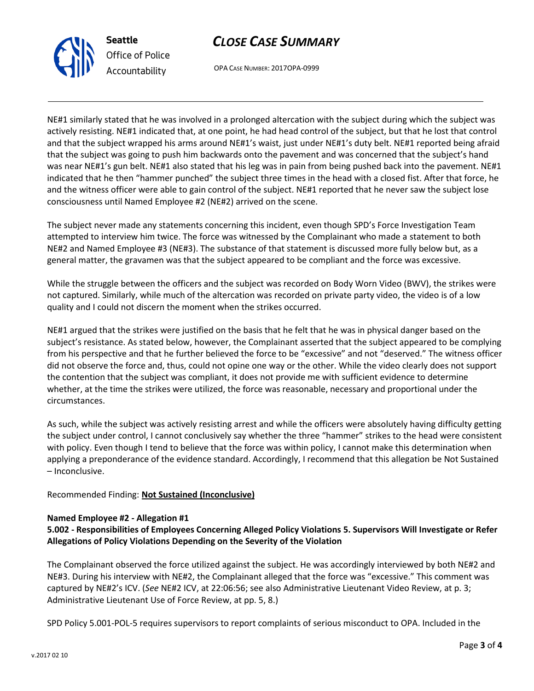



OPA CASE NUMBER: 2017OPA-0999

NE#1 similarly stated that he was involved in a prolonged altercation with the subject during which the subject was actively resisting. NE#1 indicated that, at one point, he had head control of the subject, but that he lost that control and that the subject wrapped his arms around NE#1's waist, just under NE#1's duty belt. NE#1 reported being afraid that the subject was going to push him backwards onto the pavement and was concerned that the subject's hand was near NE#1's gun belt. NE#1 also stated that his leg was in pain from being pushed back into the pavement. NE#1 indicated that he then "hammer punched" the subject three times in the head with a closed fist. After that force, he and the witness officer were able to gain control of the subject. NE#1 reported that he never saw the subject lose consciousness until Named Employee #2 (NE#2) arrived on the scene.

The subject never made any statements concerning this incident, even though SPD's Force Investigation Team attempted to interview him twice. The force was witnessed by the Complainant who made a statement to both NE#2 and Named Employee #3 (NE#3). The substance of that statement is discussed more fully below but, as a general matter, the gravamen was that the subject appeared to be compliant and the force was excessive.

While the struggle between the officers and the subject was recorded on Body Worn Video (BWV), the strikes were not captured. Similarly, while much of the altercation was recorded on private party video, the video is of a low quality and I could not discern the moment when the strikes occurred.

NE#1 argued that the strikes were justified on the basis that he felt that he was in physical danger based on the subject's resistance. As stated below, however, the Complainant asserted that the subject appeared to be complying from his perspective and that he further believed the force to be "excessive" and not "deserved." The witness officer did not observe the force and, thus, could not opine one way or the other. While the video clearly does not support the contention that the subject was compliant, it does not provide me with sufficient evidence to determine whether, at the time the strikes were utilized, the force was reasonable, necessary and proportional under the circumstances.

As such, while the subject was actively resisting arrest and while the officers were absolutely having difficulty getting the subject under control, I cannot conclusively say whether the three "hammer" strikes to the head were consistent with policy. Even though I tend to believe that the force was within policy, I cannot make this determination when applying a preponderance of the evidence standard. Accordingly, I recommend that this allegation be Not Sustained – Inconclusive.

## Recommended Finding: **Not Sustained (Inconclusive)**

## **Named Employee #2 - Allegation #1**

## **5.002 - Responsibilities of Employees Concerning Alleged Policy Violations 5. Supervisors Will Investigate or Refer Allegations of Policy Violations Depending on the Severity of the Violation**

The Complainant observed the force utilized against the subject. He was accordingly interviewed by both NE#2 and NE#3. During his interview with NE#2, the Complainant alleged that the force was "excessive." This comment was captured by NE#2's ICV. (*See* NE#2 ICV, at 22:06:56; see also Administrative Lieutenant Video Review, at p. 3; Administrative Lieutenant Use of Force Review, at pp. 5, 8.)

SPD Policy 5.001-POL-5 requires supervisors to report complaints of serious misconduct to OPA. Included in the